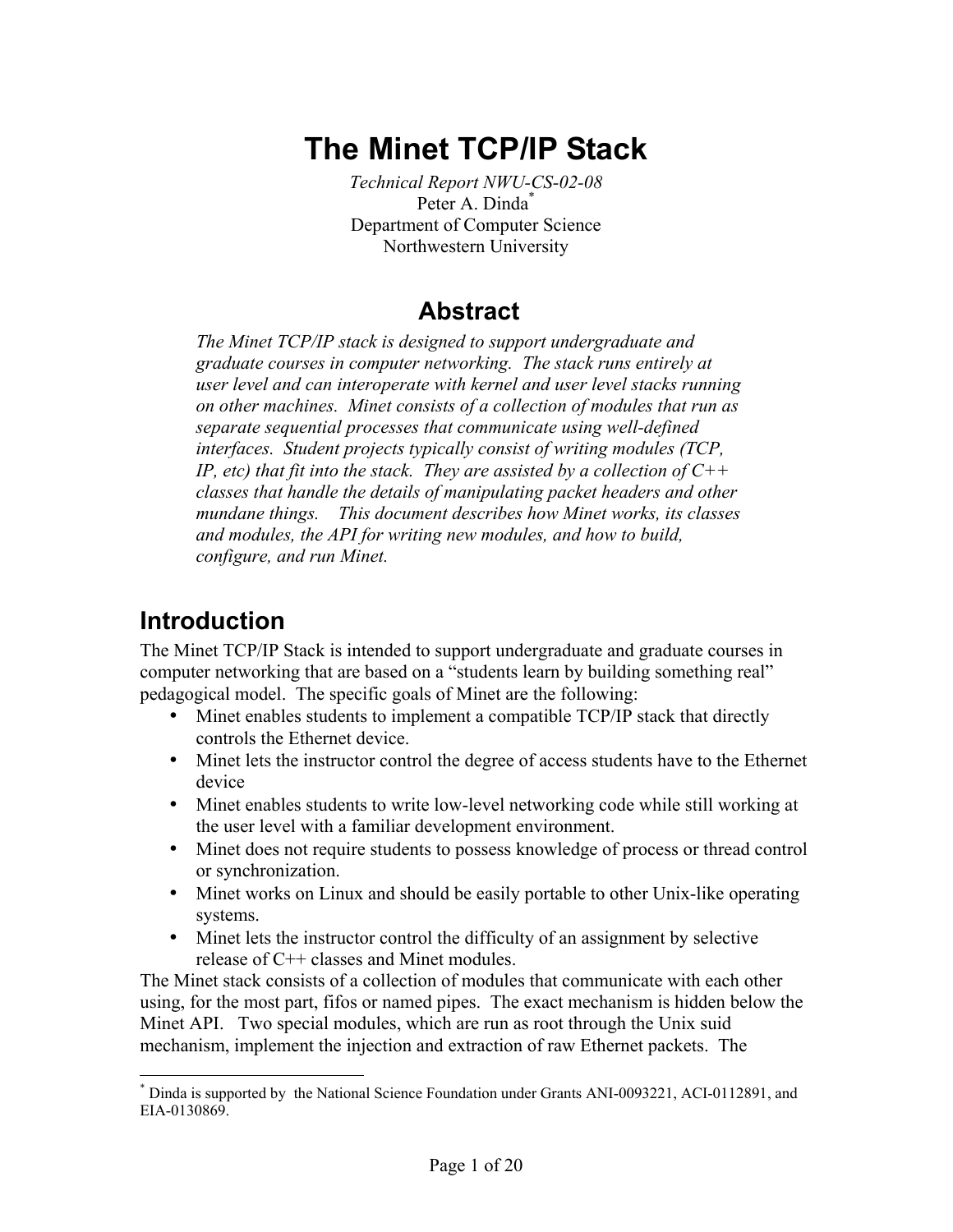# **The Minet TCP/IP Stack**

*Technical Report NWU-CS-02-08*  Peter A. Dinda<sup>\*</sup> Department of Computer Science Northwestern University

# **Abstract**

*The Minet TCP/IP stack is designed to support undergraduate and graduate courses in computer networking. The stack runs entirely at user level and can interoperate with kernel and user level stacks running on other machines. Minet consists of a collection of modules that run as separate sequential processes that communicate using well-defined interfaces. Student projects typically consist of writing modules (TCP, IP, etc) that fit into the stack. They are assisted by a collection of C++ classes that handle the details of manipulating packet headers and other mundane things. This document describes how Minet works, its classes and modules, the API for writing new modules, and how to build, configure, and run Minet.* 

# **Introduction**

The Minet TCP/IP Stack is intended to support undergraduate and graduate courses in computer networking that are based on a "students learn by building something real" pedagogical model. The specific goals of Minet are the following:

- Minet enables students to implement a compatible  $TCP/IP$  stack that directly controls the Ethernet device.
- Minet lets the instructor control the degree of access students have to the Ethernet device
- Minet enables students to write low-level networking code while still working at the user level with a familiar development environment.
- Minet does not require students to possess knowledge of process or thread control or synchronization.
- Minet works on Linux and should be easily portable to other Unix-like operating systems.
- Minet lets the instructor control the difficulty of an assignment by selective release of C++ classes and Minet modules.

The Minet stack consists of a collection of modules that communicate with each other using, for the most part, fifos or named pipes. The exact mechanism is hidden below the Minet API. Two special modules, which are run as root through the Unix suid mechanism, implement the injection and extraction of raw Ethernet packets. The

<sup>1</sup> \* Dinda is supported by the National Science Foundation under Grants ANI-0093221, ACI-0112891, and EIA-0130869.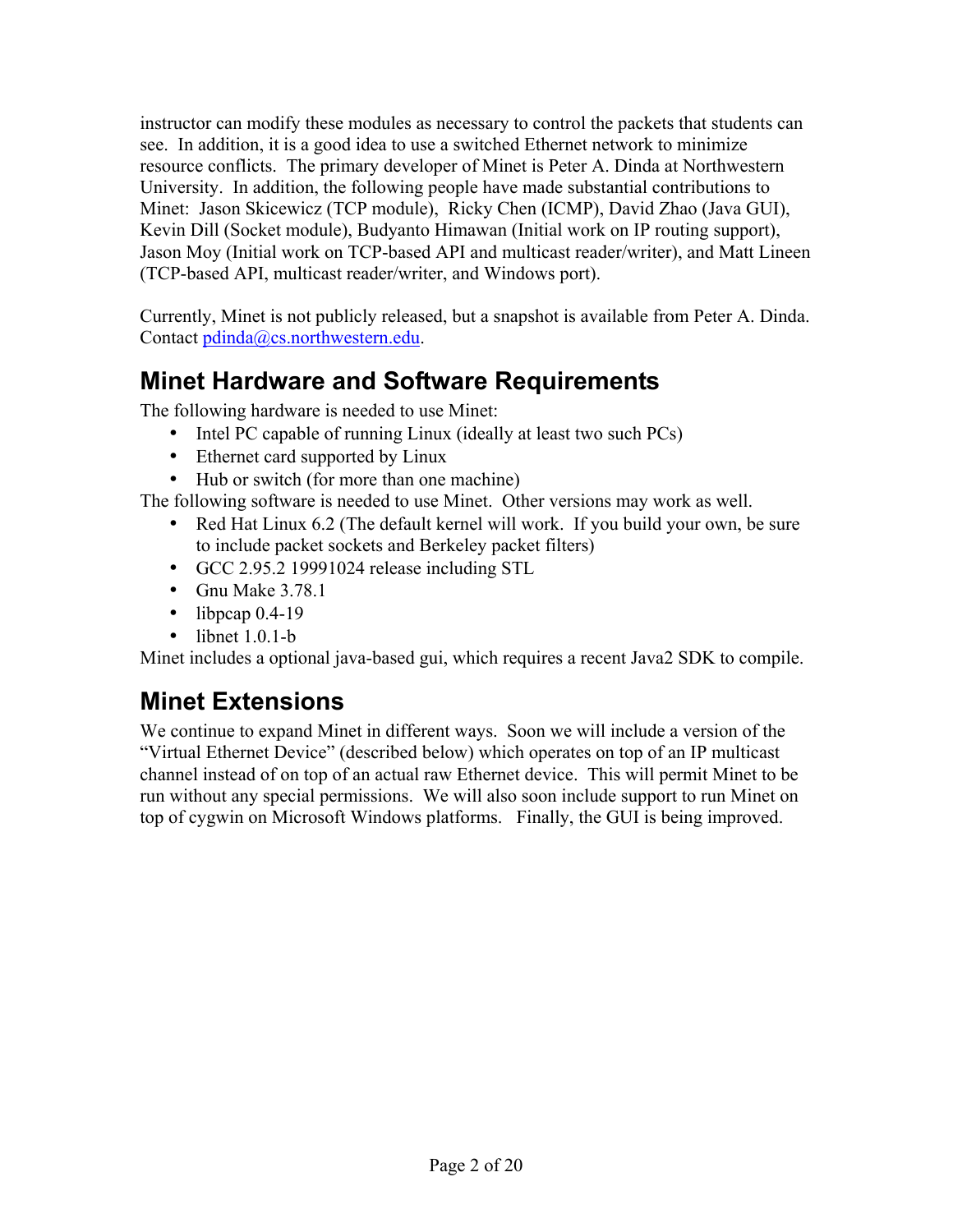instructor can modify these modules as necessary to control the packets that students can see. In addition, it is a good idea to use a switched Ethernet network to minimize resource conflicts. The primary developer of Minet is Peter A. Dinda at Northwestern University. In addition, the following people have made substantial contributions to Minet: Jason Skicewicz (TCP module), Ricky Chen (ICMP), David Zhao (Java GUI), Kevin Dill (Socket module), Budyanto Himawan (Initial work on IP routing support), Jason Moy (Initial work on TCP-based API and multicast reader/writer), and Matt Lineen (TCP-based API, multicast reader/writer, and Windows port).

Currently, Minet is not publicly released, but a snapshot is available from Peter A. Dinda. Contact pdinda@cs.northwestern.edu.

# **Minet Hardware and Software Requirements**

The following hardware is needed to use Minet:

- Intel PC capable of running Linux (ideally at least two such PCs)
- Ethernet card supported by Linux
- Hub or switch (for more than one machine)

The following software is needed to use Minet. Other versions may work as well.

- Red Hat Linux 6.2 (The default kernel will work. If you build your own, be sure to include packet sockets and Berkeley packet filters)
- GCC 2.95.2 19991024 release including STL
- Gnu Make 3.78.1
- $\bullet$  libpcap 0.4-19
- $\bullet$  libnet 1.0.1-b

Minet includes a optional java-based gui, which requires a recent Java2 SDK to compile.

# **Minet Extensions**

We continue to expand Minet in different ways. Soon we will include a version of the "Virtual Ethernet Device" (described below) which operates on top of an IP multicast channel instead of on top of an actual raw Ethernet device. This will permit Minet to be run without any special permissions. We will also soon include support to run Minet on top of cygwin on Microsoft Windows platforms. Finally, the GUI is being improved.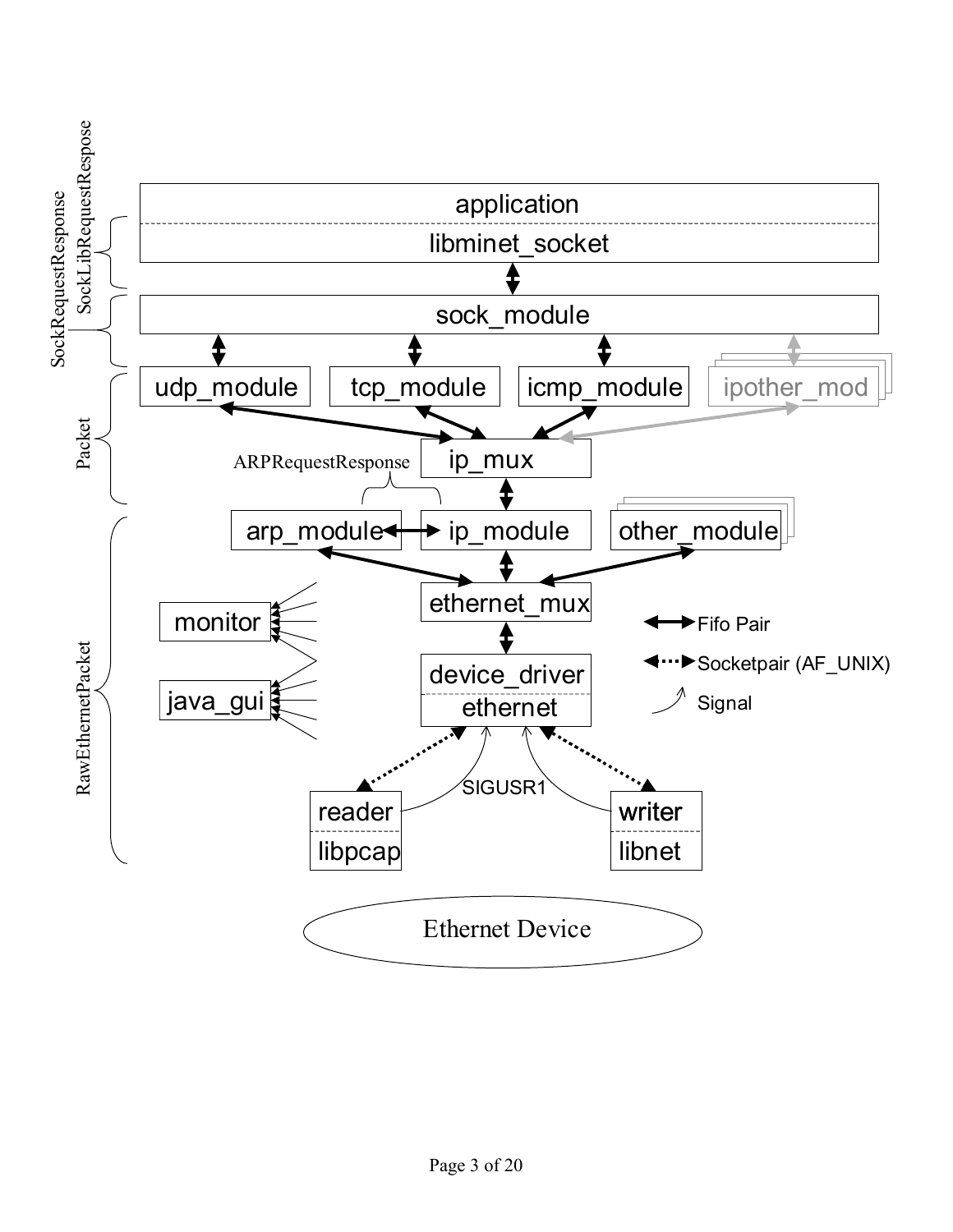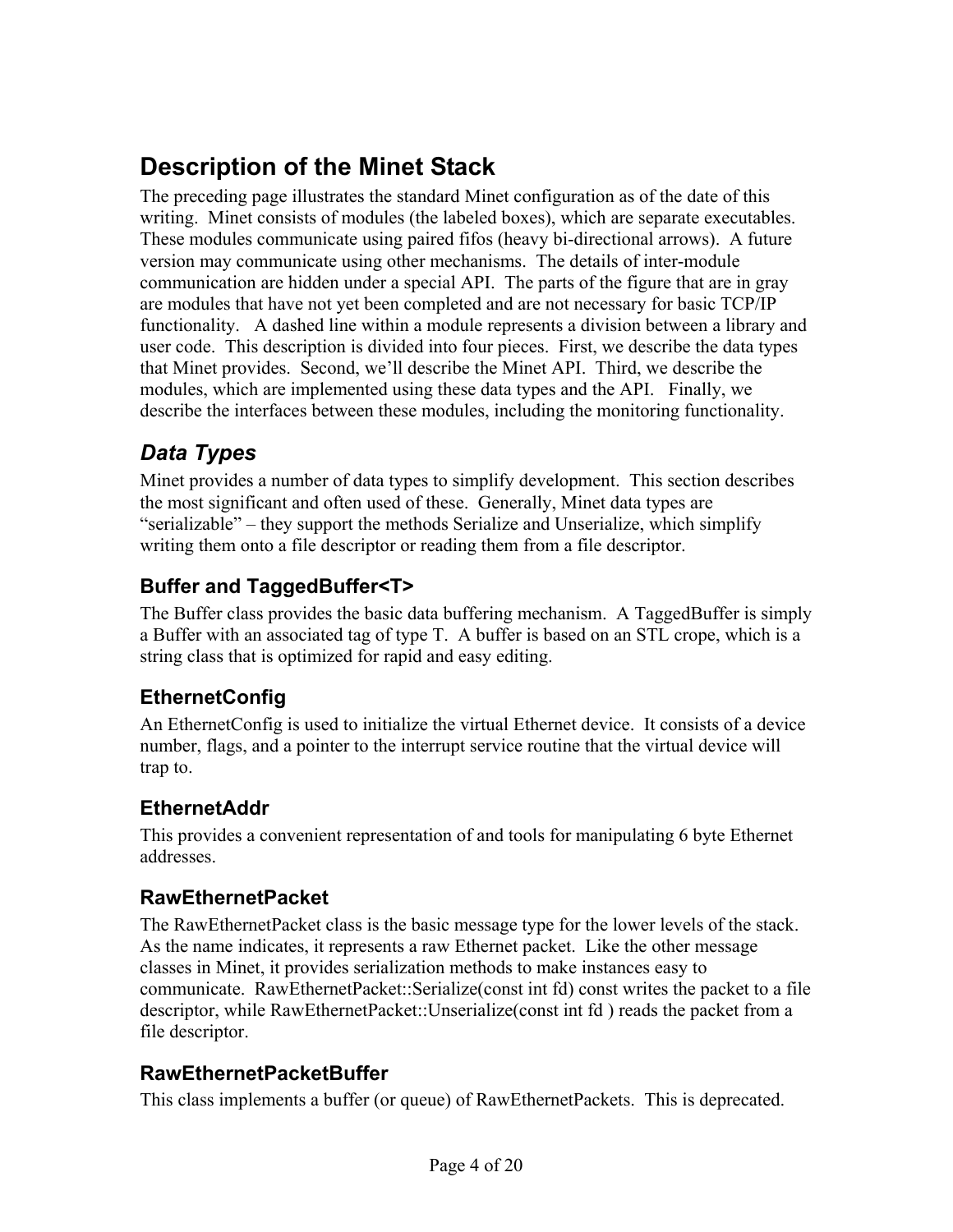# **Description of the Minet Stack**

The preceding page illustrates the standard Minet configuration as of the date of this writing. Minet consists of modules (the labeled boxes), which are separate executables. These modules communicate using paired fifos (heavy bi-directional arrows). A future version may communicate using other mechanisms. The details of inter-module communication are hidden under a special API. The parts of the figure that are in gray are modules that have not yet been completed and are not necessary for basic TCP/IP functionality. A dashed line within a module represents a division between a library and user code. This description is divided into four pieces. First, we describe the data types that Minet provides. Second, we'll describe the Minet API. Third, we describe the modules, which are implemented using these data types and the API. Finally, we describe the interfaces between these modules, including the monitoring functionality.

# *Data Types*

Minet provides a number of data types to simplify development. This section describes the most significant and often used of these. Generally, Minet data types are "serializable" – they support the methods Serialize and Unserialize, which simplify writing them onto a file descriptor or reading them from a file descriptor.

#### **Buffer and TaggedBuffer<T>**

The Buffer class provides the basic data buffering mechanism. A TaggedBuffer is simply a Buffer with an associated tag of type T. A buffer is based on an STL crope, which is a string class that is optimized for rapid and easy editing.

#### **EthernetConfig**

An EthernetConfig is used to initialize the virtual Ethernet device. It consists of a device number, flags, and a pointer to the interrupt service routine that the virtual device will trap to.

#### **EthernetAddr**

This provides a convenient representation of and tools for manipulating 6 byte Ethernet addresses.

#### **RawEthernetPacket**

The RawEthernetPacket class is the basic message type for the lower levels of the stack. As the name indicates, it represents a raw Ethernet packet. Like the other message classes in Minet, it provides serialization methods to make instances easy to communicate. RawEthernetPacket::Serialize(const int fd) const writes the packet to a file descriptor, while RawEthernetPacket::Unserialize(const int fd ) reads the packet from a file descriptor.

#### **RawEthernetPacketBuffer**

This class implements a buffer (or queue) of RawEthernetPackets. This is deprecated.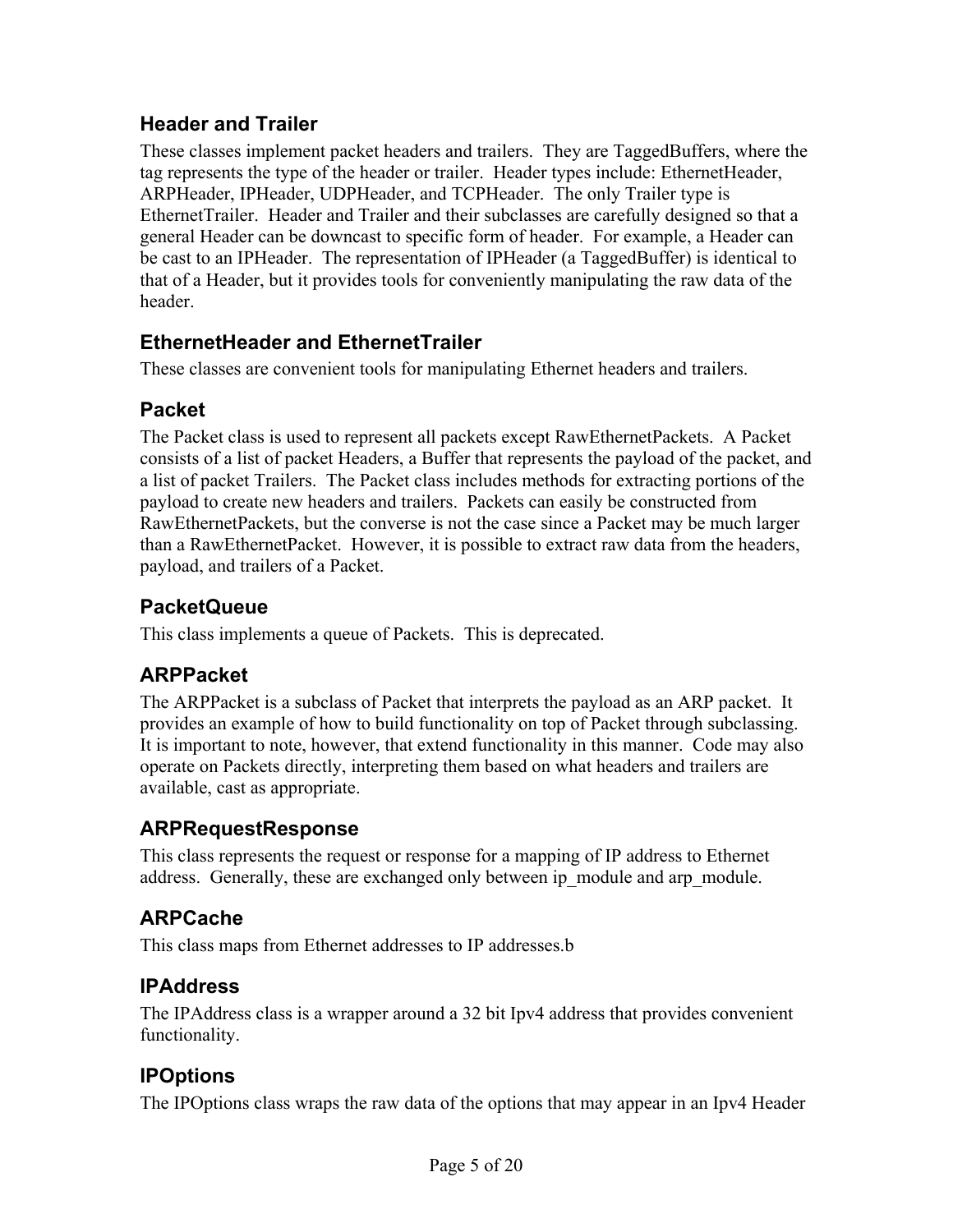#### **Header and Trailer**

These classes implement packet headers and trailers. They are TaggedBuffers, where the tag represents the type of the header or trailer. Header types include: EthernetHeader, ARPHeader, IPHeader, UDPHeader, and TCPHeader. The only Trailer type is EthernetTrailer. Header and Trailer and their subclasses are carefully designed so that a general Header can be downcast to specific form of header. For example, a Header can be cast to an IPHeader. The representation of IPHeader (a TaggedBuffer) is identical to that of a Header, but it provides tools for conveniently manipulating the raw data of the header.

#### **EthernetHeader and EthernetTrailer**

These classes are convenient tools for manipulating Ethernet headers and trailers.

#### **Packet**

The Packet class is used to represent all packets except RawEthernetPackets. A Packet consists of a list of packet Headers, a Buffer that represents the payload of the packet, and a list of packet Trailers. The Packet class includes methods for extracting portions of the payload to create new headers and trailers. Packets can easily be constructed from RawEthernetPackets, but the converse is not the case since a Packet may be much larger than a RawEthernetPacket. However, it is possible to extract raw data from the headers, payload, and trailers of a Packet.

#### **PacketQueue**

This class implements a queue of Packets. This is deprecated.

#### **ARPPacket**

The ARPPacket is a subclass of Packet that interprets the payload as an ARP packet. It provides an example of how to build functionality on top of Packet through subclassing. It is important to note, however, that extend functionality in this manner. Code may also operate on Packets directly, interpreting them based on what headers and trailers are available, cast as appropriate.

#### **ARPRequestResponse**

This class represents the request or response for a mapping of IP address to Ethernet address. Generally, these are exchanged only between ip module and arp module.

#### **ARPCache**

This class maps from Ethernet addresses to IP addresses.b

#### **IPAddress**

The IPAddress class is a wrapper around a 32 bit Ipv4 address that provides convenient functionality.

#### **IPOptions**

The IPOptions class wraps the raw data of the options that may appear in an Ipv4 Header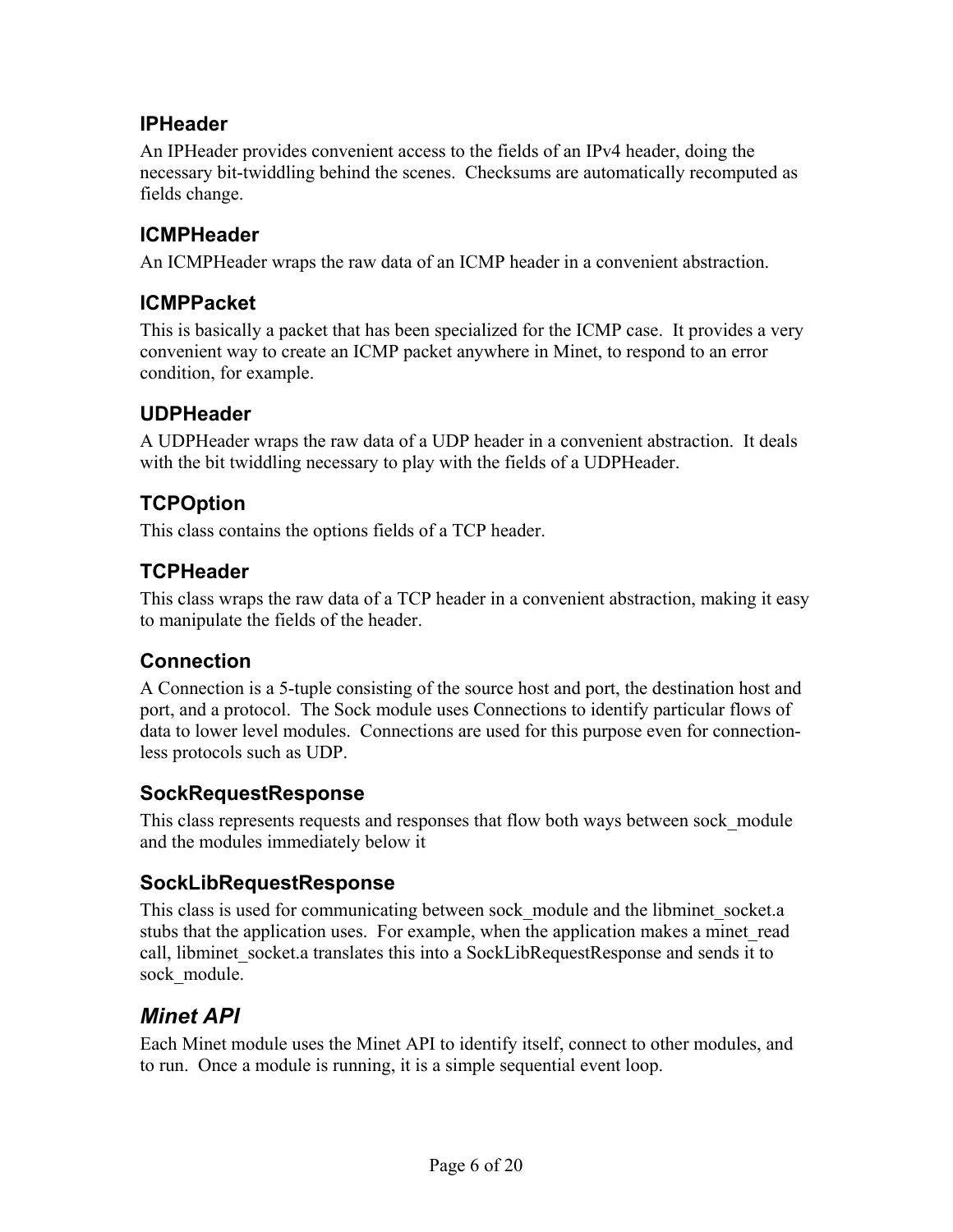#### **IPHeader**

An IPHeader provides convenient access to the fields of an IPv4 header, doing the necessary bit-twiddling behind the scenes. Checksums are automatically recomputed as fields change.

#### **ICMPHeader**

An ICMPHeader wraps the raw data of an ICMP header in a convenient abstraction.

#### **ICMPPacket**

This is basically a packet that has been specialized for the ICMP case. It provides a very convenient way to create an ICMP packet anywhere in Minet, to respond to an error condition, for example.

#### **UDPHeader**

A UDPHeader wraps the raw data of a UDP header in a convenient abstraction. It deals with the bit twiddling necessary to play with the fields of a UDPHeader.

#### **TCPOption**

This class contains the options fields of a TCP header.

#### **TCPHeader**

This class wraps the raw data of a TCP header in a convenient abstraction, making it easy to manipulate the fields of the header.

#### **Connection**

A Connection is a 5-tuple consisting of the source host and port, the destination host and port, and a protocol. The Sock module uses Connections to identify particular flows of data to lower level modules. Connections are used for this purpose even for connectionless protocols such as UDP.

#### **SockRequestResponse**

This class represents requests and responses that flow both ways between sock\_module and the modules immediately below it

#### **SockLibRequestResponse**

This class is used for communicating between sock module and the libminet socket.a stubs that the application uses. For example, when the application makes a minet read call, libminet socket.a translates this into a SockLibRequestResponse and sends it to sock module.

## *Minet API*

Each Minet module uses the Minet API to identify itself, connect to other modules, and to run. Once a module is running, it is a simple sequential event loop.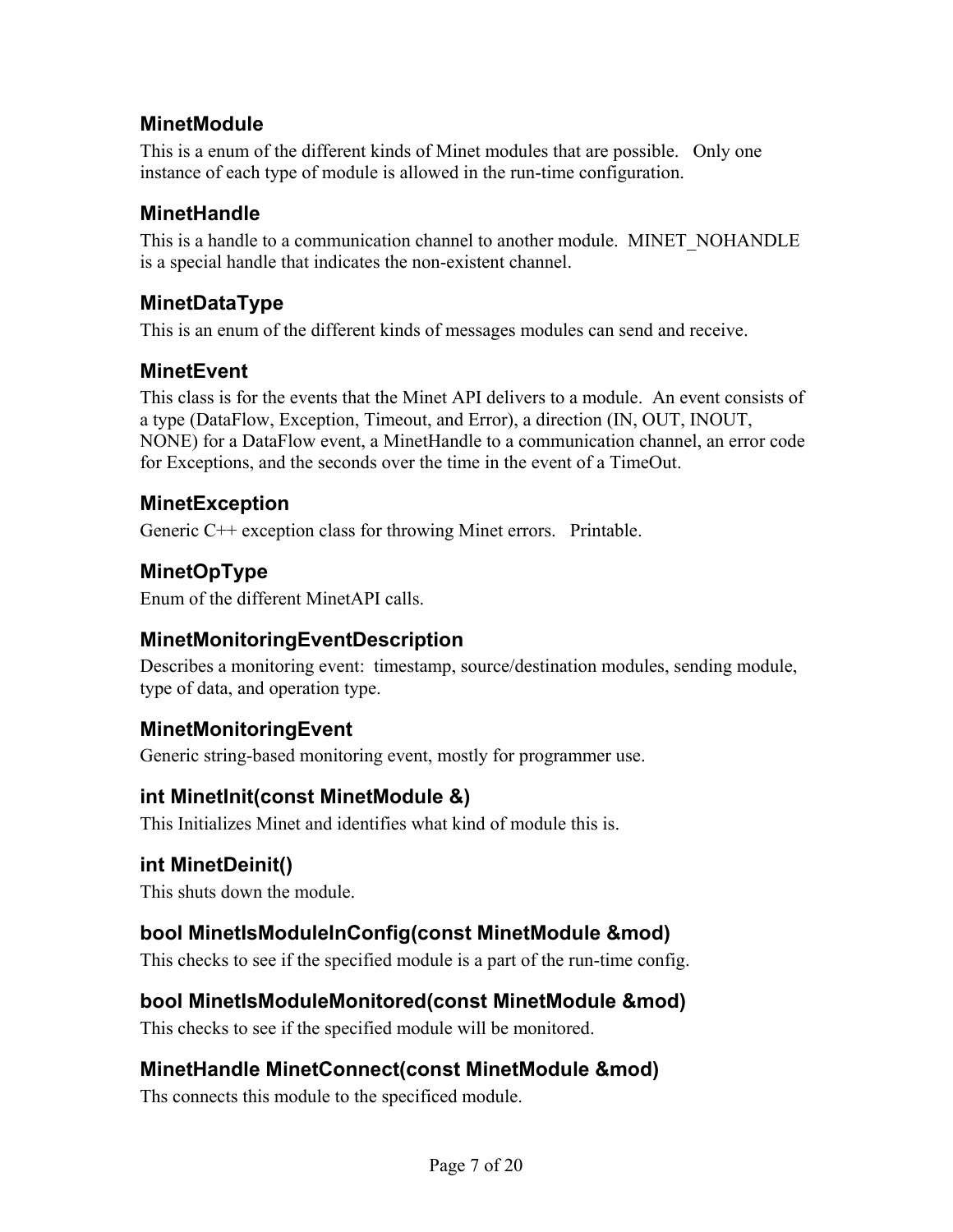#### **MinetModule**

This is a enum of the different kinds of Minet modules that are possible. Only one instance of each type of module is allowed in the run-time configuration.

#### **MinetHandle**

This is a handle to a communication channel to another module. MINET\_NOHANDLE is a special handle that indicates the non-existent channel.

#### **MinetDataType**

This is an enum of the different kinds of messages modules can send and receive.

#### **MinetEvent**

This class is for the events that the Minet API delivers to a module. An event consists of a type (DataFlow, Exception, Timeout, and Error), a direction (IN, OUT, INOUT, NONE) for a DataFlow event, a MinetHandle to a communication channel, an error code for Exceptions, and the seconds over the time in the event of a TimeOut.

#### **MinetException**

Generic C++ exception class for throwing Minet errors. Printable.

# **MinetOpType**

Enum of the different MinetAPI calls.

#### **MinetMonitoringEventDescription**

Describes a monitoring event: timestamp, source/destination modules, sending module, type of data, and operation type.

## **MinetMonitoringEvent**

Generic string-based monitoring event, mostly for programmer use.

#### **int MinetInit(const MinetModule &)**

This Initializes Minet and identifies what kind of module this is.

## **int MinetDeinit()**

This shuts down the module.

## **bool MinetIsModuleInConfig(const MinetModule &mod)**

This checks to see if the specified module is a part of the run-time config.

#### **bool MinetIsModuleMonitored(const MinetModule &mod)**

This checks to see if the specified module will be monitored.

## **MinetHandle MinetConnect(const MinetModule &mod)**

Ths connects this module to the specificed module.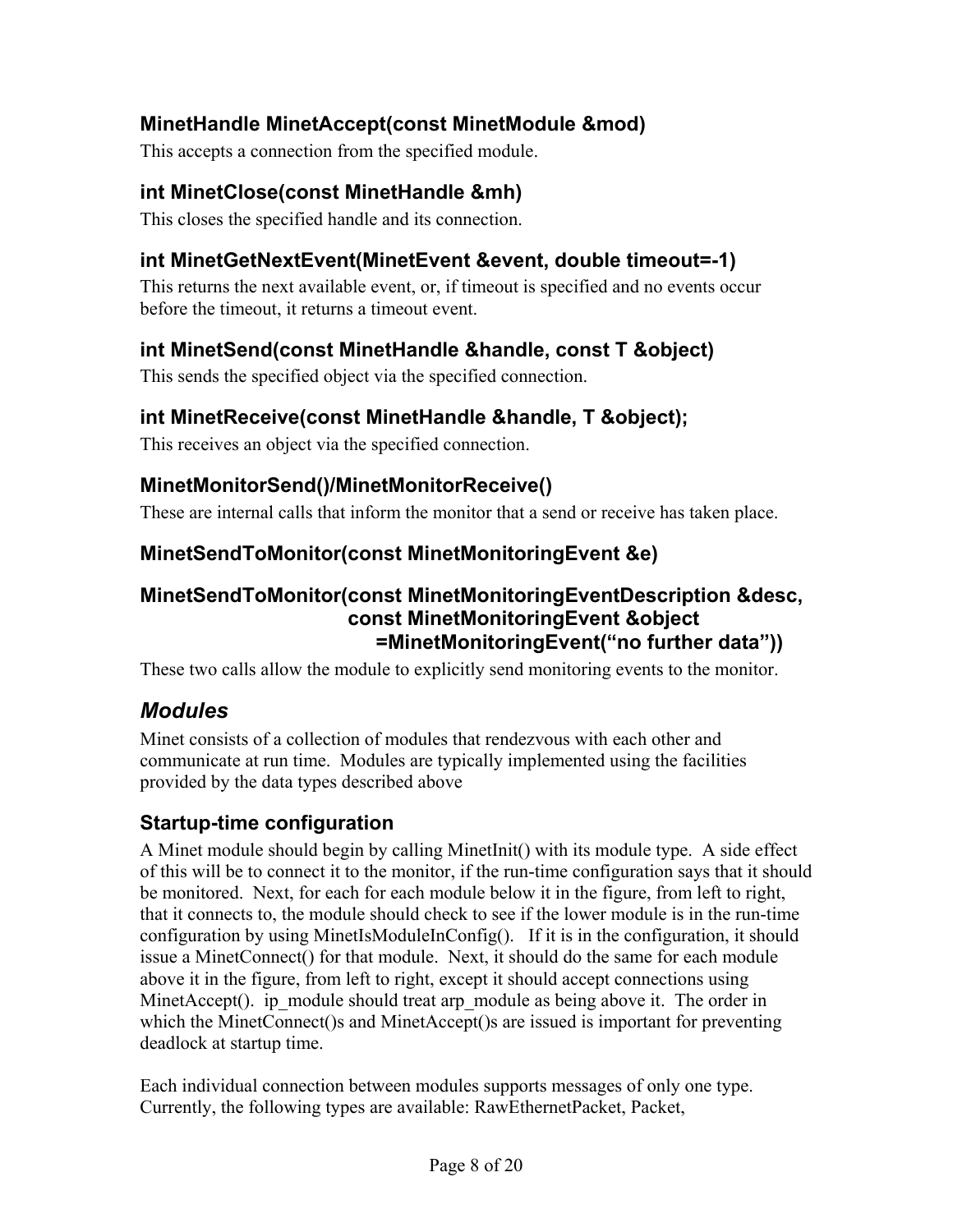#### **MinetHandle MinetAccept(const MinetModule &mod)**

This accepts a connection from the specified module.

#### **int MinetClose(const MinetHandle &mh)**

This closes the specified handle and its connection.

#### **int MinetGetNextEvent(MinetEvent &event, double timeout=-1)**

This returns the next available event, or, if timeout is specified and no events occur before the timeout, it returns a timeout event.

#### **int MinetSend(const MinetHandle &handle, const T &object)**

This sends the specified object via the specified connection.

#### **int MinetReceive(const MinetHandle &handle, T &object);**

This receives an object via the specified connection.

#### **MinetMonitorSend()/MinetMonitorReceive()**

These are internal calls that inform the monitor that a send or receive has taken place.

#### **MinetSendToMonitor(const MinetMonitoringEvent &e)**

#### **MinetSendToMonitor(const MinetMonitoringEventDescription &desc, const MinetMonitoringEvent &object =MinetMonitoringEvent("no further data"))**

These two calls allow the module to explicitly send monitoring events to the monitor.

## *Modules*

Minet consists of a collection of modules that rendezvous with each other and communicate at run time. Modules are typically implemented using the facilities provided by the data types described above

#### **Startup-time configuration**

A Minet module should begin by calling MinetInit() with its module type. A side effect of this will be to connect it to the monitor, if the run-time configuration says that it should be monitored. Next, for each for each module below it in the figure, from left to right, that it connects to, the module should check to see if the lower module is in the run-time configuration by using MinetIsModuleInConfig(). If it is in the configuration, it should issue a MinetConnect() for that module. Next, it should do the same for each module above it in the figure, from left to right, except it should accept connections using MinetAccept(). ip\_module should treat arp\_module as being above it. The order in which the MinetConnect()s and MinetAccept()s are issued is important for preventing deadlock at startup time.

Each individual connection between modules supports messages of only one type. Currently, the following types are available: RawEthernetPacket, Packet,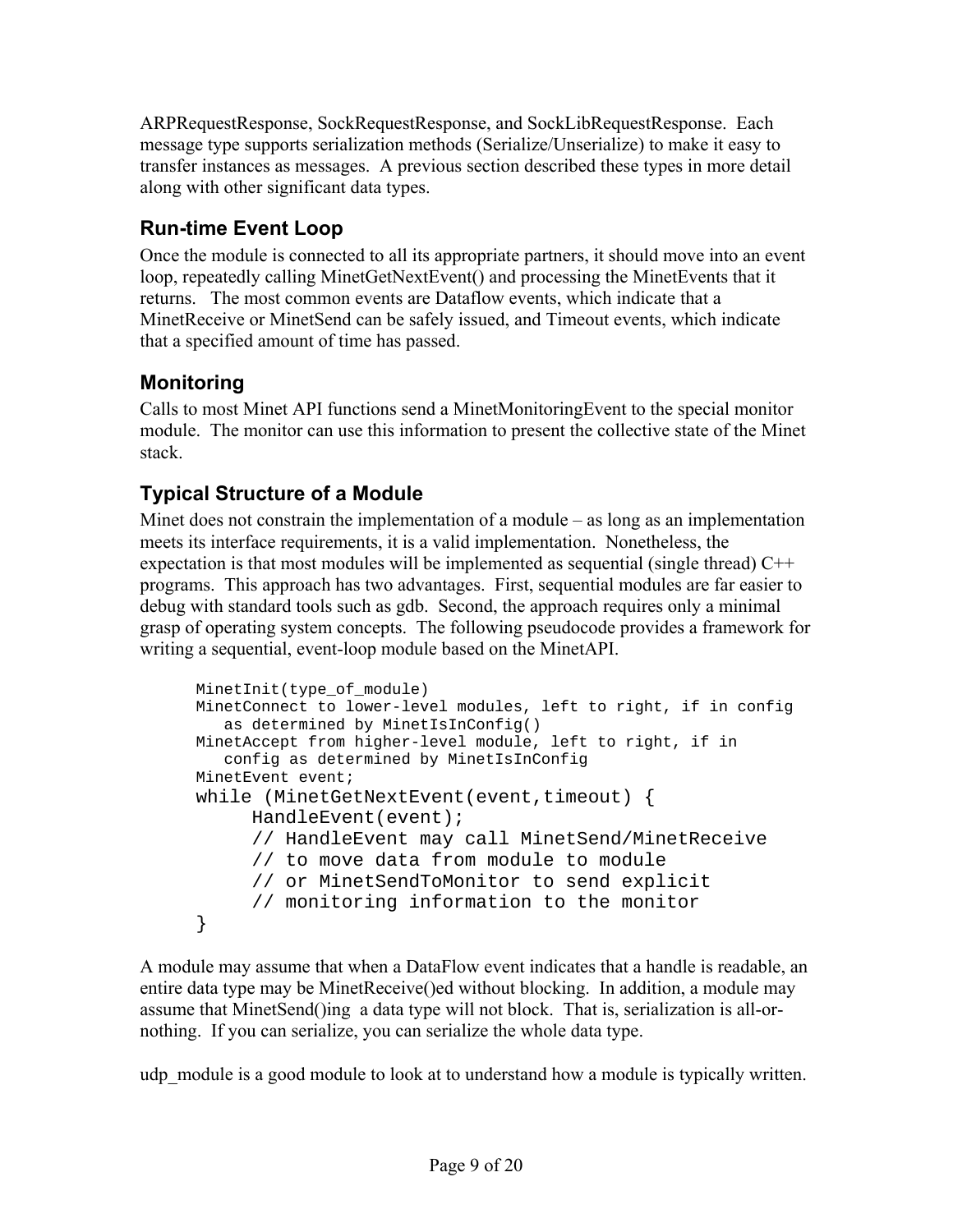ARPRequestResponse, SockRequestResponse, and SockLibRequestResponse. Each message type supports serialization methods (Serialize/Unserialize) to make it easy to transfer instances as messages. A previous section described these types in more detail along with other significant data types.

## **Run-time Event Loop**

Once the module is connected to all its appropriate partners, it should move into an event loop, repeatedly calling MinetGetNextEvent() and processing the MinetEvents that it returns. The most common events are Dataflow events, which indicate that a MinetReceive or MinetSend can be safely issued, and Timeout events, which indicate that a specified amount of time has passed.

## **Monitoring**

Calls to most Minet API functions send a MinetMonitoringEvent to the special monitor module. The monitor can use this information to present the collective state of the Minet stack.

## **Typical Structure of a Module**

Minet does not constrain the implementation of a module – as long as an implementation meets its interface requirements, it is a valid implementation. Nonetheless, the expectation is that most modules will be implemented as sequential (single thread)  $C++$ programs. This approach has two advantages. First, sequential modules are far easier to debug with standard tools such as gdb. Second, the approach requires only a minimal grasp of operating system concepts. The following pseudocode provides a framework for writing a sequential, event-loop module based on the MinetAPI.

```
MinetInit(type of module)
MinetConnect to lower-level modules, left to right, if in config
  as determined by MinetIsInConfig()
MinetAccept from higher-level module, left to right, if in
  config as determined by MinetIsInConfig
MinetEvent event;
while (MinetGetNextEvent(event,timeout) {
     HandleEvent(event);
     // HandleEvent may call MinetSend/MinetReceive
     // to move data from module to module
     // or MinetSendToMonitor to send explicit
     // monitoring information to the monitor
}
```
A module may assume that when a DataFlow event indicates that a handle is readable, an entire data type may be MinetReceive()ed without blocking. In addition, a module may assume that MinetSend()ing a data type will not block. That is, serialization is all-ornothing. If you can serialize, you can serialize the whole data type.

udp module is a good module to look at to understand how a module is typically written.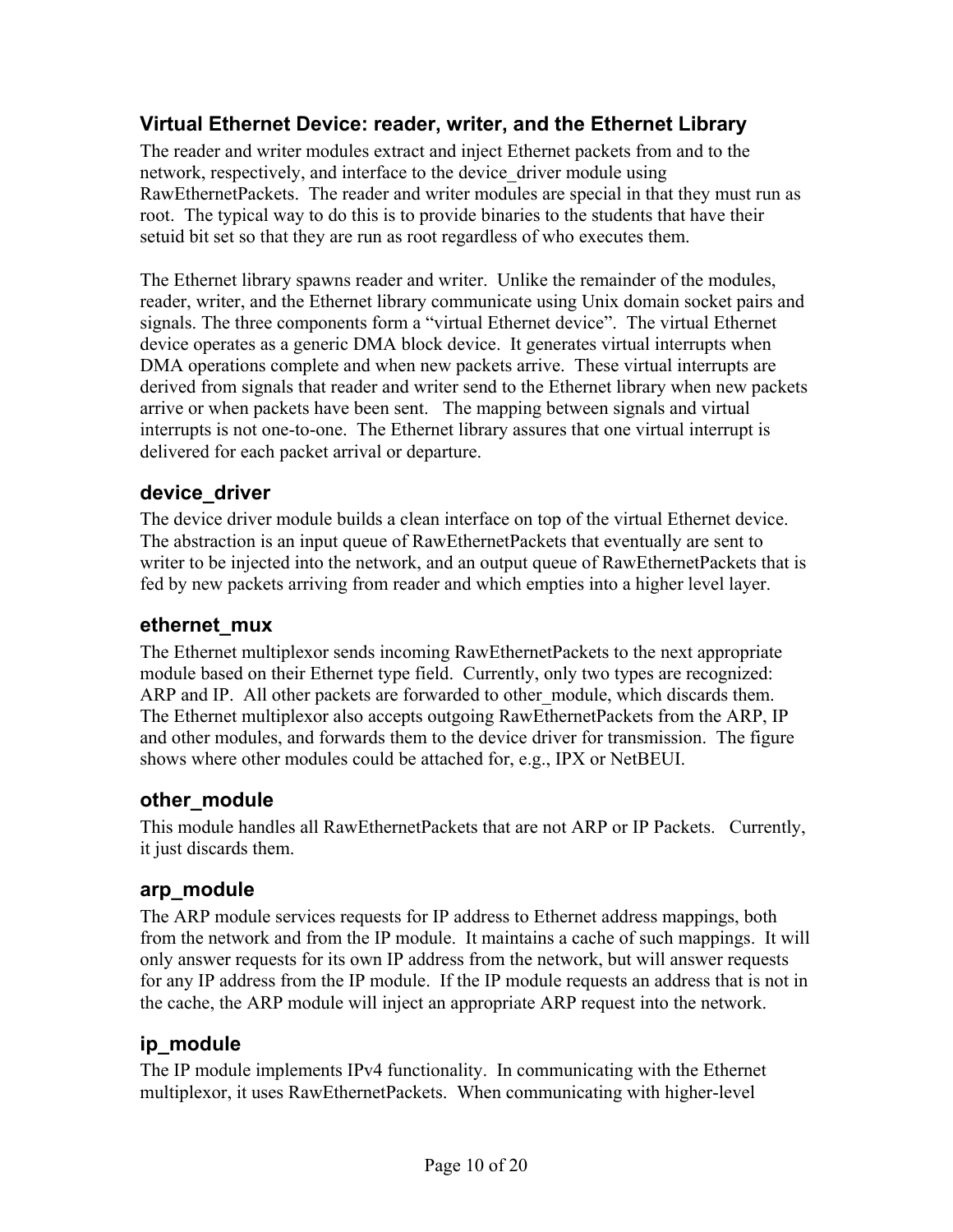#### **Virtual Ethernet Device: reader, writer, and the Ethernet Library**

The reader and writer modules extract and inject Ethernet packets from and to the network, respectively, and interface to the device\_driver module using RawEthernetPackets. The reader and writer modules are special in that they must run as root. The typical way to do this is to provide binaries to the students that have their setuid bit set so that they are run as root regardless of who executes them.

The Ethernet library spawns reader and writer. Unlike the remainder of the modules, reader, writer, and the Ethernet library communicate using Unix domain socket pairs and signals. The three components form a "virtual Ethernet device". The virtual Ethernet device operates as a generic DMA block device. It generates virtual interrupts when DMA operations complete and when new packets arrive. These virtual interrupts are derived from signals that reader and writer send to the Ethernet library when new packets arrive or when packets have been sent. The mapping between signals and virtual interrupts is not one-to-one. The Ethernet library assures that one virtual interrupt is delivered for each packet arrival or departure.

#### **device\_driver**

The device driver module builds a clean interface on top of the virtual Ethernet device. The abstraction is an input queue of RawEthernetPackets that eventually are sent to writer to be injected into the network, and an output queue of RawEthernetPackets that is fed by new packets arriving from reader and which empties into a higher level layer.

#### **ethernet\_mux**

The Ethernet multiplexor sends incoming RawEthernetPackets to the next appropriate module based on their Ethernet type field. Currently, only two types are recognized: ARP and IP. All other packets are forwarded to other module, which discards them. The Ethernet multiplexor also accepts outgoing RawEthernetPackets from the ARP, IP and other modules, and forwards them to the device driver for transmission. The figure shows where other modules could be attached for, e.g., IPX or NetBEUI.

#### **other\_module**

This module handles all RawEthernetPackets that are not ARP or IP Packets. Currently, it just discards them.

#### **arp\_module**

The ARP module services requests for IP address to Ethernet address mappings, both from the network and from the IP module. It maintains a cache of such mappings. It will only answer requests for its own IP address from the network, but will answer requests for any IP address from the IP module. If the IP module requests an address that is not in the cache, the ARP module will inject an appropriate ARP request into the network.

#### **ip\_module**

The IP module implements IPv4 functionality. In communicating with the Ethernet multiplexor, it uses RawEthernetPackets. When communicating with higher-level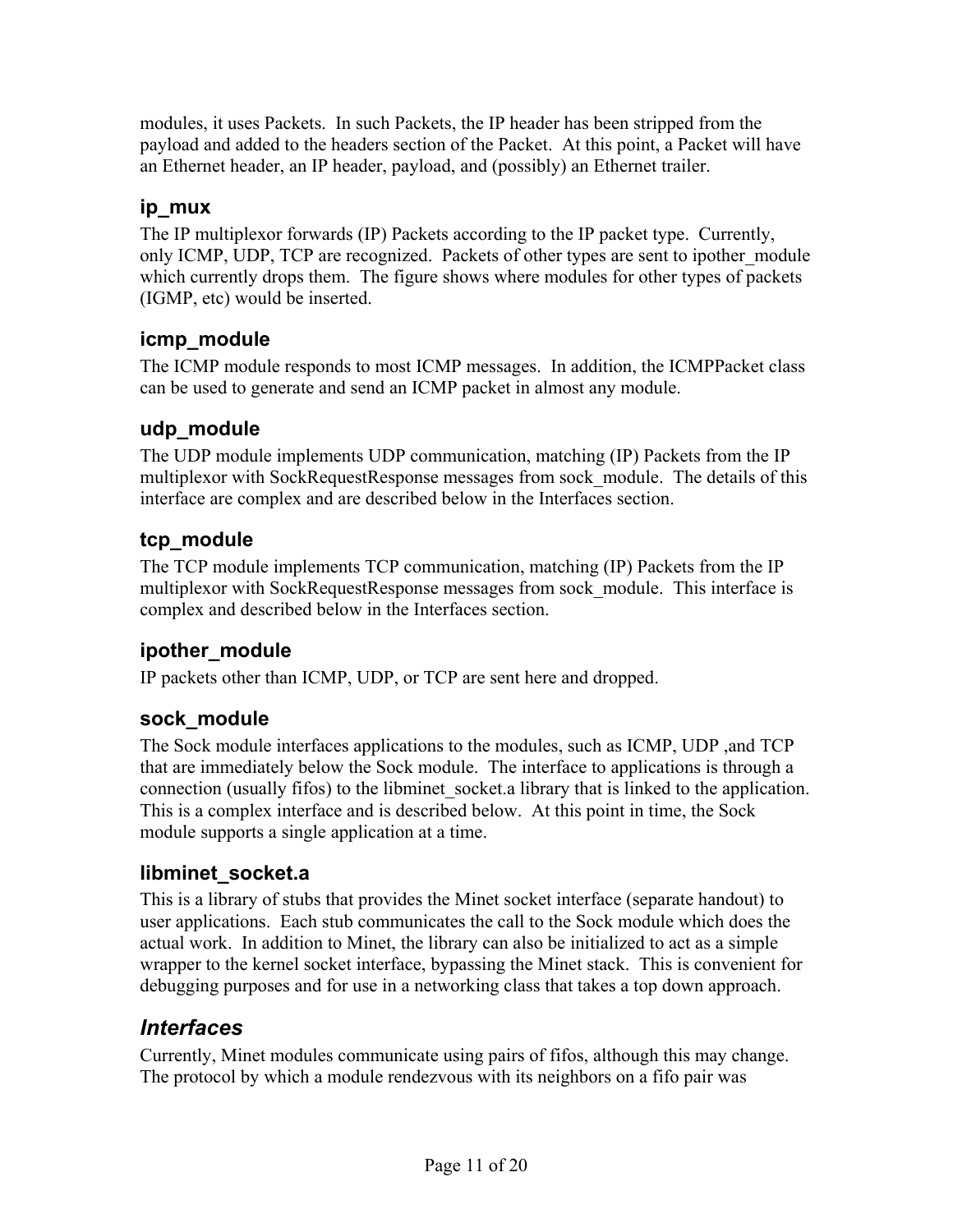modules, it uses Packets. In such Packets, the IP header has been stripped from the payload and added to the headers section of the Packet. At this point, a Packet will have an Ethernet header, an IP header, payload, and (possibly) an Ethernet trailer.

#### **ip\_mux**

The IP multiplexor forwards (IP) Packets according to the IP packet type. Currently, only ICMP, UDP, TCP are recognized. Packets of other types are sent to ipother\_module which currently drops them. The figure shows where modules for other types of packets (IGMP, etc) would be inserted.

#### **icmp\_module**

The ICMP module responds to most ICMP messages. In addition, the ICMPPacket class can be used to generate and send an ICMP packet in almost any module.

#### **udp\_module**

The UDP module implements UDP communication, matching (IP) Packets from the IP multiplexor with SockRequestResponse messages from sock module. The details of this interface are complex and are described below in the Interfaces section.

#### **tcp\_module**

The TCP module implements TCP communication, matching (IP) Packets from the IP multiplexor with SockRequestResponse messages from sock module. This interface is complex and described below in the Interfaces section.

#### **ipother\_module**

IP packets other than ICMP, UDP, or TCP are sent here and dropped.

#### **sock\_module**

The Sock module interfaces applications to the modules, such as ICMP, UDP ,and TCP that are immediately below the Sock module. The interface to applications is through a connection (usually fifos) to the libminet\_socket.a library that is linked to the application. This is a complex interface and is described below. At this point in time, the Sock module supports a single application at a time.

#### **libminet\_socket.a**

This is a library of stubs that provides the Minet socket interface (separate handout) to user applications. Each stub communicates the call to the Sock module which does the actual work. In addition to Minet, the library can also be initialized to act as a simple wrapper to the kernel socket interface, bypassing the Minet stack. This is convenient for debugging purposes and for use in a networking class that takes a top down approach.

#### *Interfaces*

Currently, Minet modules communicate using pairs of fifos, although this may change. The protocol by which a module rendezvous with its neighbors on a fifo pair was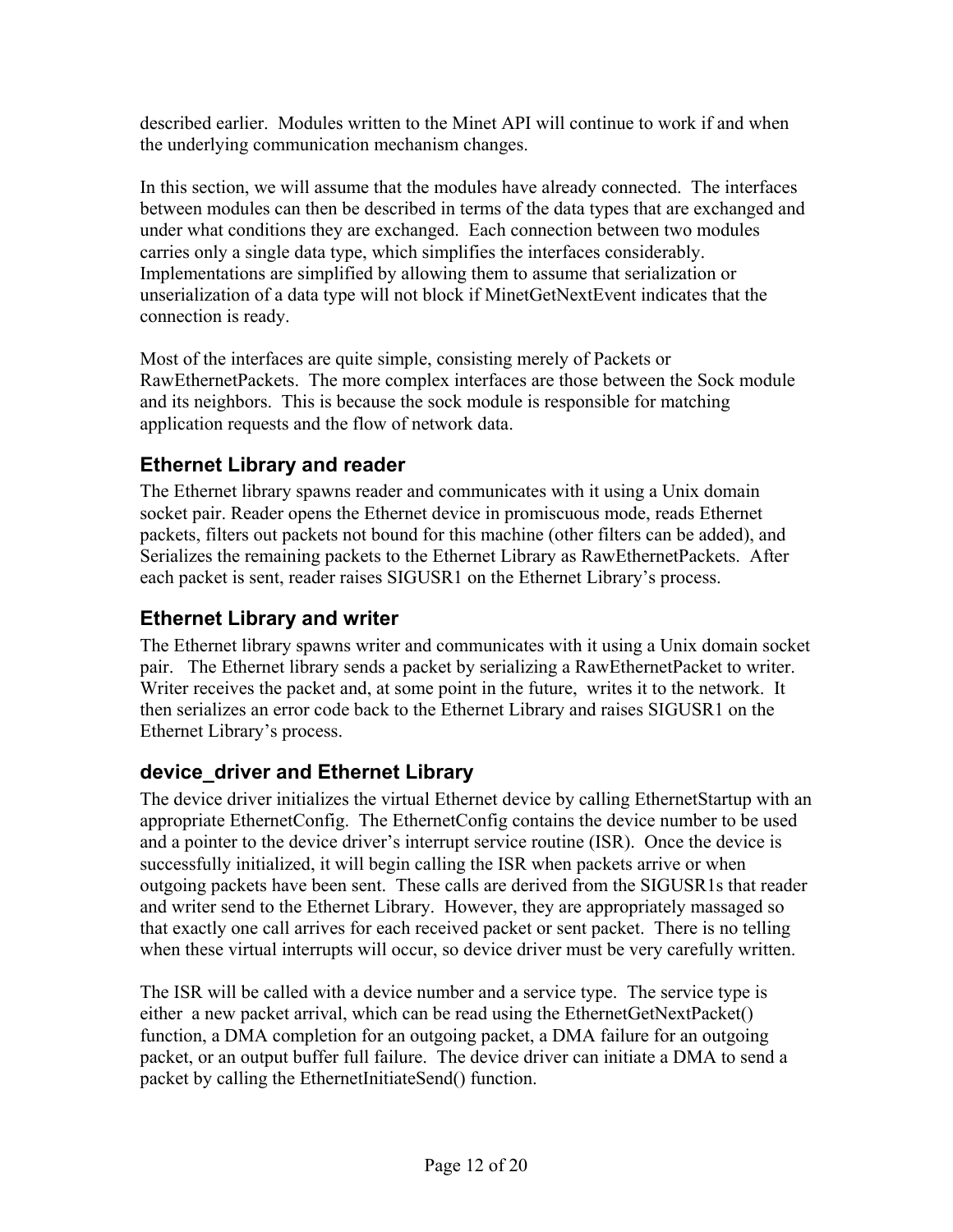described earlier. Modules written to the Minet API will continue to work if and when the underlying communication mechanism changes.

In this section, we will assume that the modules have already connected. The interfaces between modules can then be described in terms of the data types that are exchanged and under what conditions they are exchanged. Each connection between two modules carries only a single data type, which simplifies the interfaces considerably. Implementations are simplified by allowing them to assume that serialization or unserialization of a data type will not block if MinetGetNextEvent indicates that the connection is ready.

Most of the interfaces are quite simple, consisting merely of Packets or RawEthernetPackets. The more complex interfaces are those between the Sock module and its neighbors. This is because the sock module is responsible for matching application requests and the flow of network data.

#### **Ethernet Library and reader**

The Ethernet library spawns reader and communicates with it using a Unix domain socket pair. Reader opens the Ethernet device in promiscuous mode, reads Ethernet packets, filters out packets not bound for this machine (other filters can be added), and Serializes the remaining packets to the Ethernet Library as RawEthernetPackets. After each packet is sent, reader raises SIGUSR1 on the Ethernet Library's process.

#### **Ethernet Library and writer**

The Ethernet library spawns writer and communicates with it using a Unix domain socket pair. The Ethernet library sends a packet by serializing a RawEthernetPacket to writer. Writer receives the packet and, at some point in the future, writes it to the network. It then serializes an error code back to the Ethernet Library and raises SIGUSR1 on the Ethernet Library's process.

#### **device\_driver and Ethernet Library**

The device driver initializes the virtual Ethernet device by calling EthernetStartup with an appropriate EthernetConfig. The EthernetConfig contains the device number to be used and a pointer to the device driver's interrupt service routine (ISR). Once the device is successfully initialized, it will begin calling the ISR when packets arrive or when outgoing packets have been sent. These calls are derived from the SIGUSR1s that reader and writer send to the Ethernet Library. However, they are appropriately massaged so that exactly one call arrives for each received packet or sent packet. There is no telling when these virtual interrupts will occur, so device driver must be very carefully written.

The ISR will be called with a device number and a service type. The service type is either a new packet arrival, which can be read using the EthernetGetNextPacket() function, a DMA completion for an outgoing packet, a DMA failure for an outgoing packet, or an output buffer full failure. The device driver can initiate a DMA to send a packet by calling the EthernetInitiateSend() function.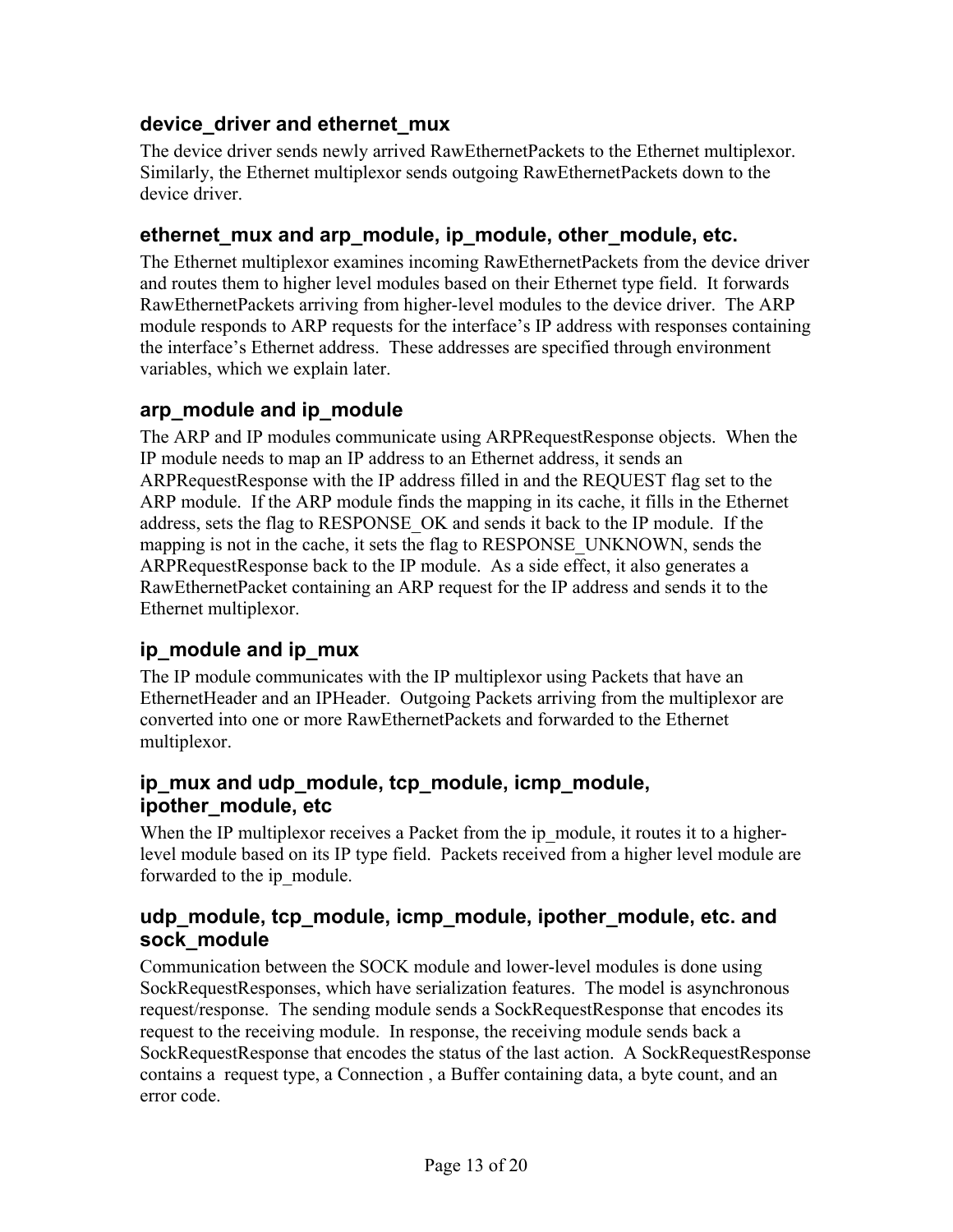#### **device\_driver and ethernet\_mux**

The device driver sends newly arrived RawEthernetPackets to the Ethernet multiplexor. Similarly, the Ethernet multiplexor sends outgoing RawEthernetPackets down to the device driver.

#### **ethernet\_mux and arp\_module, ip\_module, other\_module, etc.**

The Ethernet multiplexor examines incoming RawEthernetPackets from the device driver and routes them to higher level modules based on their Ethernet type field. It forwards RawEthernetPackets arriving from higher-level modules to the device driver. The ARP module responds to ARP requests for the interface's IP address with responses containing the interface's Ethernet address. These addresses are specified through environment variables, which we explain later.

#### **arp\_module and ip\_module**

The ARP and IP modules communicate using ARPRequestResponse objects. When the IP module needs to map an IP address to an Ethernet address, it sends an ARPRequestResponse with the IP address filled in and the REQUEST flag set to the ARP module. If the ARP module finds the mapping in its cache, it fills in the Ethernet address, sets the flag to RESPONSE\_OK and sends it back to the IP module. If the mapping is not in the cache, it sets the flag to RESPONSE UNKNOWN, sends the ARPRequestResponse back to the IP module. As a side effect, it also generates a RawEthernetPacket containing an ARP request for the IP address and sends it to the Ethernet multiplexor.

#### **ip\_module and ip\_mux**

The IP module communicates with the IP multiplexor using Packets that have an EthernetHeader and an IPHeader. Outgoing Packets arriving from the multiplexor are converted into one or more RawEthernetPackets and forwarded to the Ethernet multiplexor.

#### **ip\_mux and udp\_module, tcp\_module, icmp\_module, ipother\_module, etc**

When the IP multiplexor receives a Packet from the ip module, it routes it to a higherlevel module based on its IP type field. Packets received from a higher level module are forwarded to the ip\_module.

#### **udp\_module, tcp\_module, icmp\_module, ipother\_module, etc. and sock\_module**

Communication between the SOCK module and lower-level modules is done using SockRequestResponses, which have serialization features. The model is asynchronous request/response. The sending module sends a SockRequestResponse that encodes its request to the receiving module. In response, the receiving module sends back a SockRequestResponse that encodes the status of the last action. A SockRequestResponse contains a request type, a Connection , a Buffer containing data, a byte count, and an error code.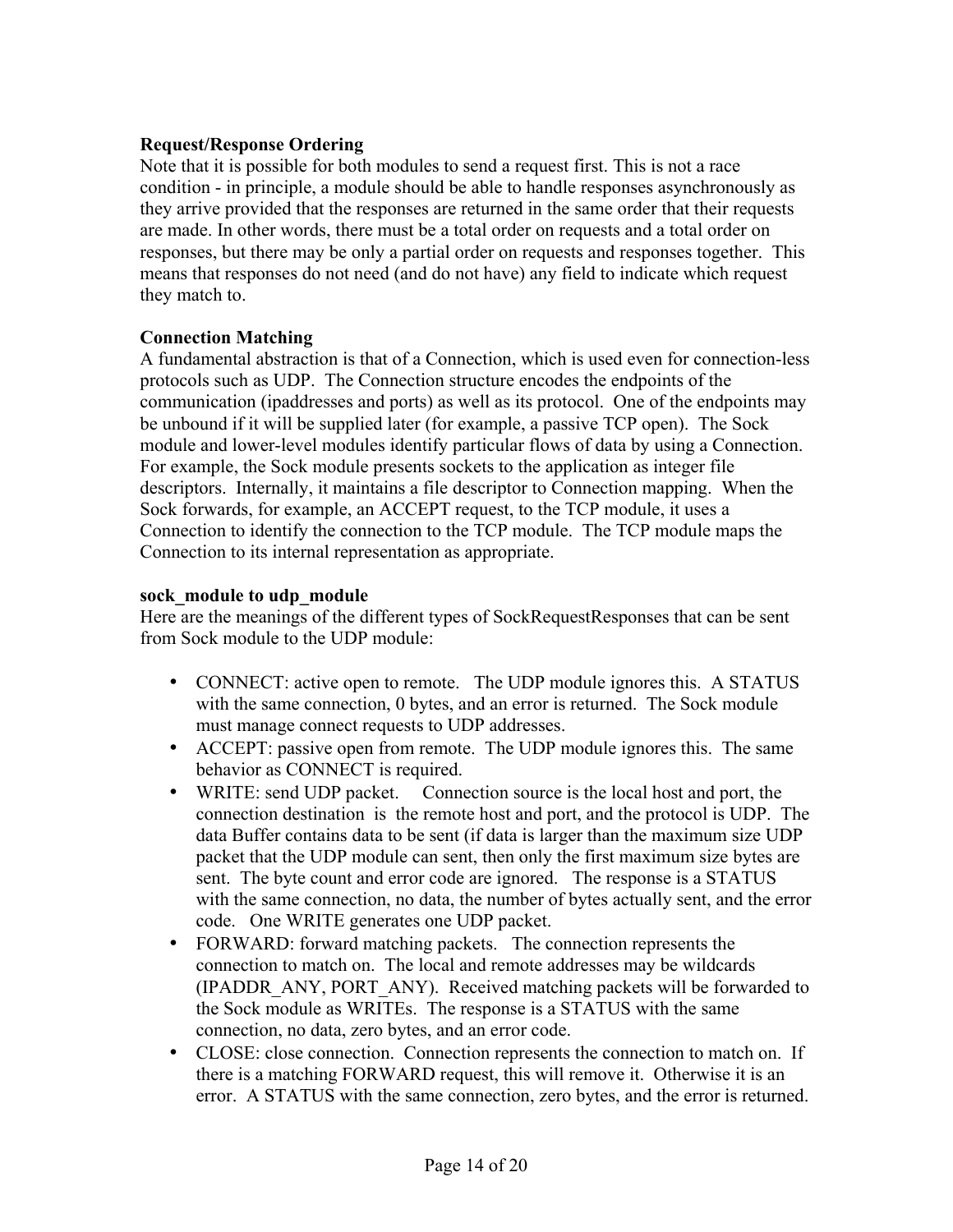#### **Request/Response Ordering**

Note that it is possible for both modules to send a request first. This is not a race condition - in principle, a module should be able to handle responses asynchronously as they arrive provided that the responses are returned in the same order that their requests are made. In other words, there must be a total order on requests and a total order on responses, but there may be only a partial order on requests and responses together. This means that responses do not need (and do not have) any field to indicate which request they match to.

#### **Connection Matching**

A fundamental abstraction is that of a Connection, which is used even for connection-less protocols such as UDP. The Connection structure encodes the endpoints of the communication (ipaddresses and ports) as well as its protocol. One of the endpoints may be unbound if it will be supplied later (for example, a passive TCP open). The Sock module and lower-level modules identify particular flows of data by using a Connection. For example, the Sock module presents sockets to the application as integer file descriptors. Internally, it maintains a file descriptor to Connection mapping. When the Sock forwards, for example, an ACCEPT request, to the TCP module, it uses a Connection to identify the connection to the TCP module. The TCP module maps the Connection to its internal representation as appropriate.

#### **sock\_module to udp\_module**

Here are the meanings of the different types of SockRequestResponses that can be sent from Sock module to the UDP module:

- CONNECT: active open to remote. The UDP module ignores this. A STATUS with the same connection, 0 bytes, and an error is returned. The Sock module must manage connect requests to UDP addresses.
- ACCEPT: passive open from remote. The UDP module ignores this. The same behavior as CONNECT is required.
- WRITE: send UDP packet. Connection source is the local host and port, the connection destination is the remote host and port, and the protocol is UDP. The data Buffer contains data to be sent (if data is larger than the maximum size UDP packet that the UDP module can sent, then only the first maximum size bytes are sent. The byte count and error code are ignored. The response is a STATUS with the same connection, no data, the number of bytes actually sent, and the error code. One WRITE generates one UDP packet.
- FORWARD: forward matching packets. The connection represents the connection to match on. The local and remote addresses may be wildcards (IPADDR\_ANY, PORT\_ANY). Received matching packets will be forwarded to the Sock module as WRITEs. The response is a STATUS with the same connection, no data, zero bytes, and an error code.
- CLOSE: close connection. Connection represents the connection to match on. If there is a matching FORWARD request, this will remove it. Otherwise it is an error. A STATUS with the same connection, zero bytes, and the error is returned.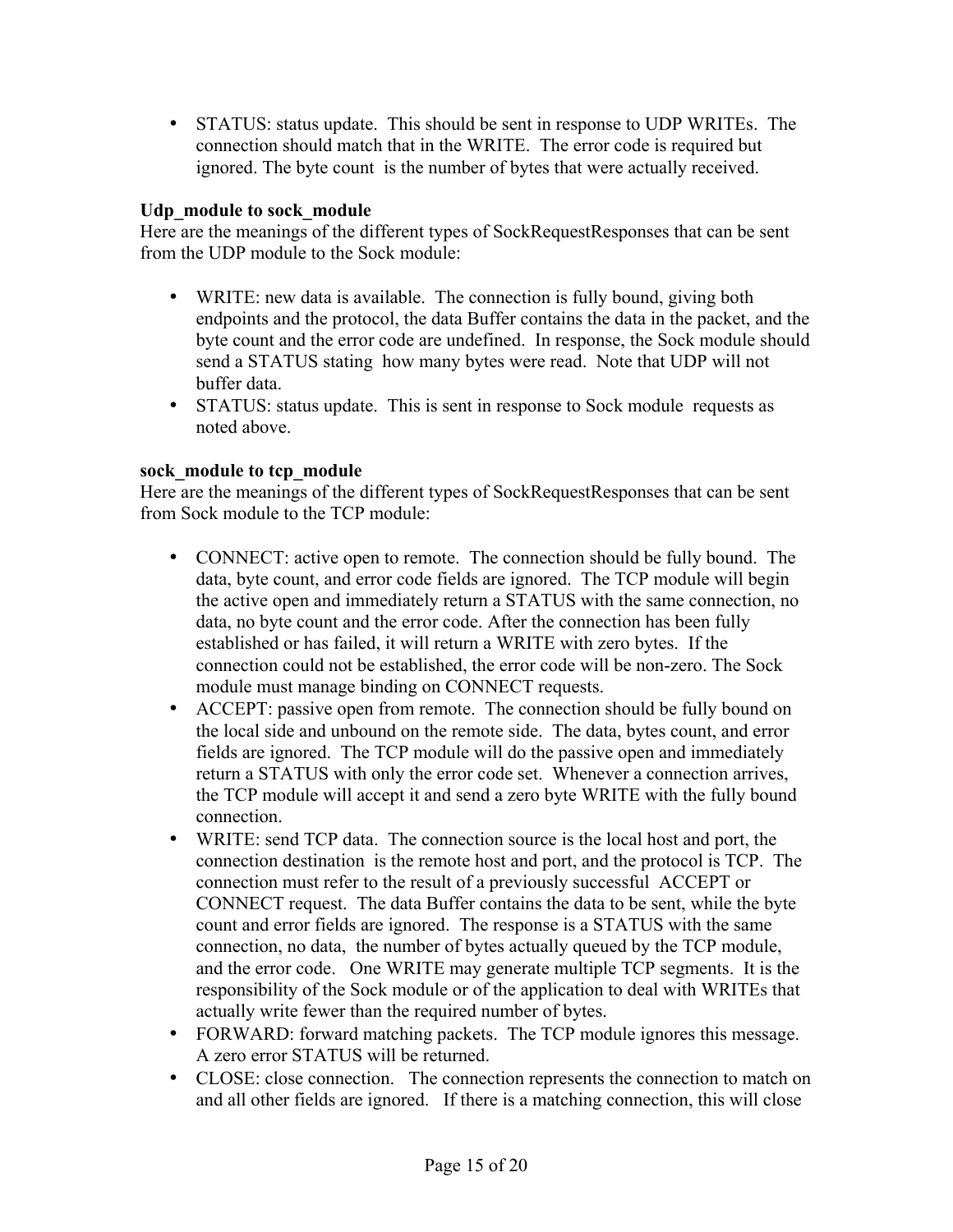• STATUS: status update. This should be sent in response to UDP WRITEs. The connection should match that in the WRITE. The error code is required but ignored. The byte count is the number of bytes that were actually received.

#### **Udp\_module to sock\_module**

Here are the meanings of the different types of SockRequestResponses that can be sent from the UDP module to the Sock module:

- WRITE: new data is available. The connection is fully bound, giving both endpoints and the protocol, the data Buffer contains the data in the packet, and the byte count and the error code are undefined. In response, the Sock module should send a STATUS stating how many bytes were read. Note that UDP will not buffer data.
- STATUS: status update. This is sent in response to Sock module requests as noted above.

#### **sock\_module to tcp\_module**

Here are the meanings of the different types of SockRequestResponses that can be sent from Sock module to the TCP module:

- CONNECT: active open to remote. The connection should be fully bound. The data, byte count, and error code fields are ignored. The TCP module will begin the active open and immediately return a STATUS with the same connection, no data, no byte count and the error code. After the connection has been fully established or has failed, it will return a WRITE with zero bytes. If the connection could not be established, the error code will be non-zero. The Sock module must manage binding on CONNECT requests.
- ACCEPT: passive open from remote. The connection should be fully bound on the local side and unbound on the remote side. The data, bytes count, and error fields are ignored. The TCP module will do the passive open and immediately return a STATUS with only the error code set. Whenever a connection arrives, the TCP module will accept it and send a zero byte WRITE with the fully bound connection.
- WRITE: send TCP data. The connection source is the local host and port, the connection destination is the remote host and port, and the protocol is TCP. The connection must refer to the result of a previously successful ACCEPT or CONNECT request. The data Buffer contains the data to be sent, while the byte count and error fields are ignored. The response is a STATUS with the same connection, no data, the number of bytes actually queued by the TCP module, and the error code. One WRITE may generate multiple TCP segments. It is the responsibility of the Sock module or of the application to deal with WRITEs that actually write fewer than the required number of bytes.
- FORWARD: forward matching packets. The TCP module ignores this message. A zero error STATUS will be returned.
- CLOSE: close connection. The connection represents the connection to match on and all other fields are ignored. If there is a matching connection, this will close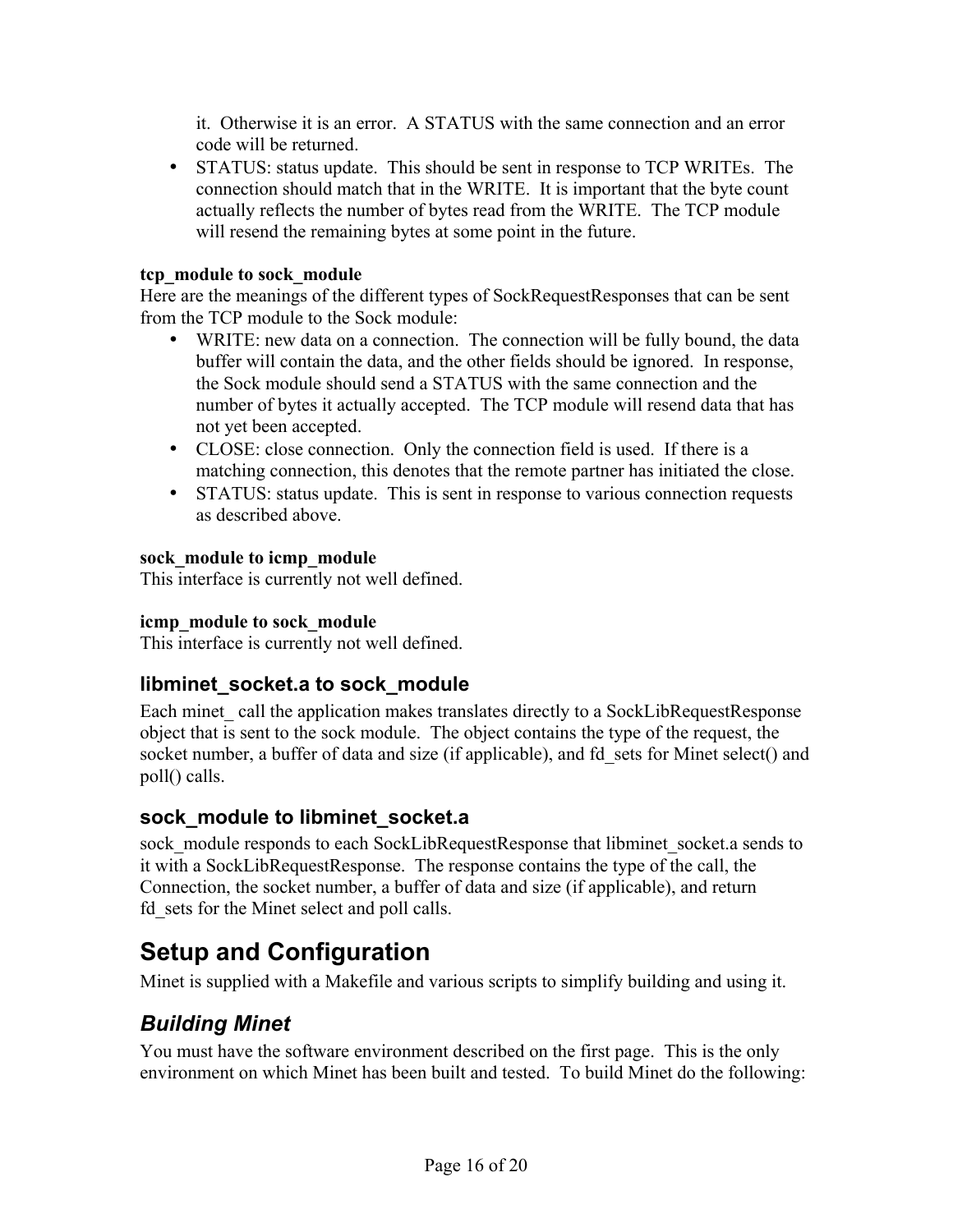it. Otherwise it is an error. A STATUS with the same connection and an error code will be returned.

• STATUS: status update. This should be sent in response to TCP WRITEs. The connection should match that in the WRITE. It is important that the byte count actually reflects the number of bytes read from the WRITE. The TCP module will resend the remaining bytes at some point in the future.

#### **tcp\_module to sock\_module**

Here are the meanings of the different types of SockRequestResponses that can be sent from the TCP module to the Sock module:

- WRITE: new data on a connection. The connection will be fully bound, the data buffer will contain the data, and the other fields should be ignored. In response, the Sock module should send a STATUS with the same connection and the number of bytes it actually accepted. The TCP module will resend data that has not yet been accepted.
- CLOSE: close connection. Only the connection field is used. If there is a matching connection, this denotes that the remote partner has initiated the close.
- STATUS: status update. This is sent in response to various connection requests as described above.

#### **sock\_module to icmp\_module**

This interface is currently not well defined.

#### **icmp\_module to sock\_module**

This interface is currently not well defined.

#### **libminet\_socket.a to sock\_module**

Each minet call the application makes translates directly to a SockLibRequestResponse object that is sent to the sock module. The object contains the type of the request, the socket number, a buffer of data and size (if applicable), and fd\_sets for Minet select() and poll() calls.

#### **sock\_module to libminet\_socket.a**

sock module responds to each SockLibRequestResponse that libminet socket.a sends to it with a SockLibRequestResponse. The response contains the type of the call, the Connection, the socket number, a buffer of data and size (if applicable), and return fd\_sets for the Minet select and poll calls.

# **Setup and Configuration**

Minet is supplied with a Makefile and various scripts to simplify building and using it.

# *Building Minet*

You must have the software environment described on the first page. This is the only environment on which Minet has been built and tested. To build Minet do the following: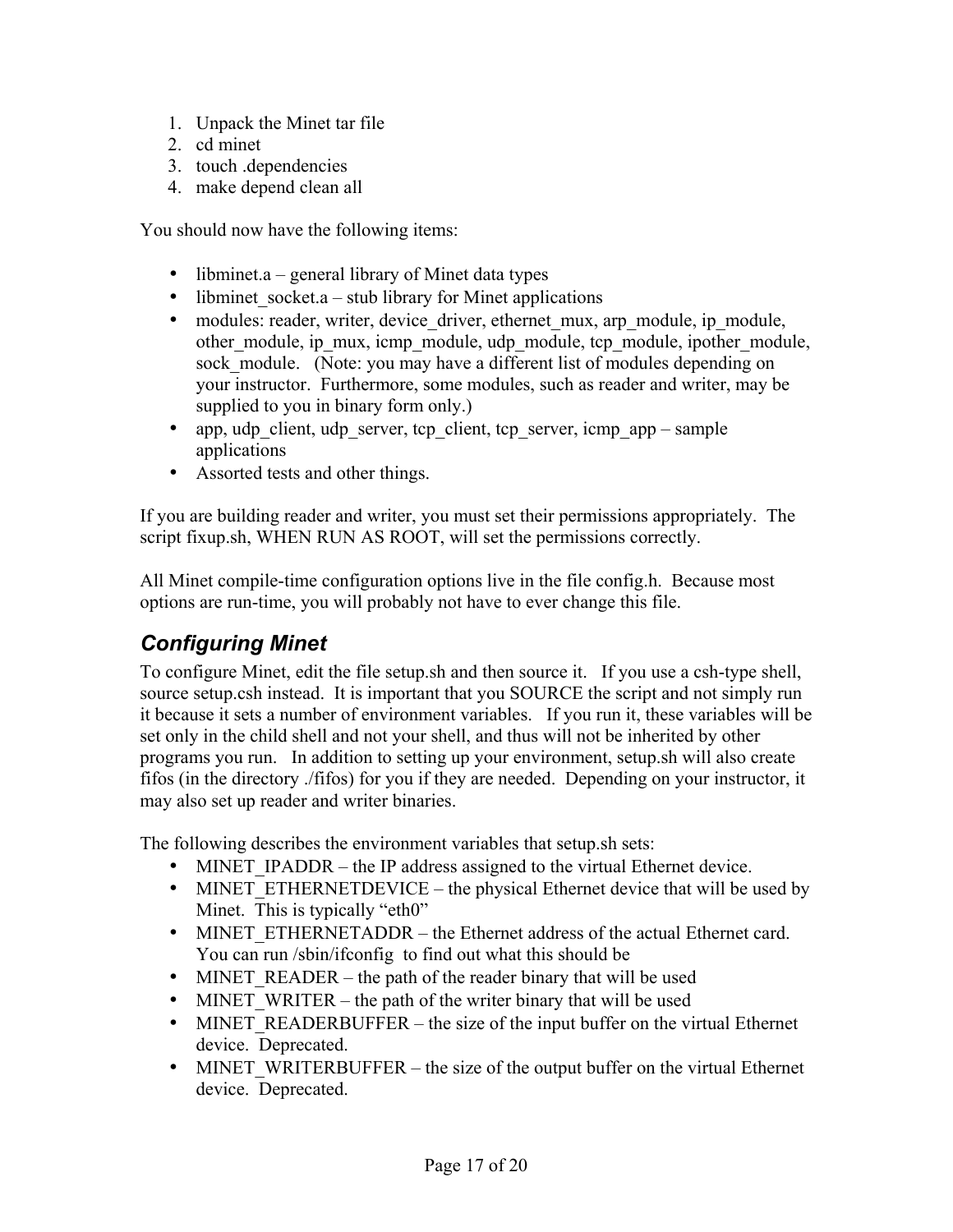- 1. Unpack the Minet tar file
- 2. cd minet
- 3. touch .dependencies
- 4. make depend clean all

You should now have the following items:

- libminet.a general library of Minet data types
- libminet socket.a stub library for Minet applications
- modules: reader, writer, device driver, ethernet mux, arp module, ip\_module, other module, ip mux, icmp\_module, udp\_module, tcp\_module, ipother\_module, sock module. (Note: you may have a different list of modules depending on your instructor. Furthermore, some modules, such as reader and writer, may be supplied to you in binary form only.)
- app, udp client, udp server, tcp client, tcp server, icmp app sample applications
- Assorted tests and other things.

If you are building reader and writer, you must set their permissions appropriately. The script fixup.sh, WHEN RUN AS ROOT, will set the permissions correctly.

All Minet compile-time configuration options live in the file config.h. Because most options are run-time, you will probably not have to ever change this file.

## *Configuring Minet*

To configure Minet, edit the file setup.sh and then source it. If you use a csh-type shell, source setup.csh instead. It is important that you SOURCE the script and not simply run it because it sets a number of environment variables. If you run it, these variables will be set only in the child shell and not your shell, and thus will not be inherited by other programs you run. In addition to setting up your environment, setup.sh will also create fifos (in the directory ./fifos) for you if they are needed. Depending on your instructor, it may also set up reader and writer binaries.

The following describes the environment variables that setup.sh sets:

- MINET IPADDR the IP address assigned to the virtual Ethernet device.
- MINET ETHERNETDEVICE the physical Ethernet device that will be used by Minet. This is typically "eth0"
- MINET ETHERNETADDR the Ethernet address of the actual Ethernet card. You can run /sbin/ifconfig to find out what this should be
- MINET READER the path of the reader binary that will be used
- MINET WRITER the path of the writer binary that will be used
- MINET READERBUFFER the size of the input buffer on the virtual Ethernet device. Deprecated.
- MINET WRITERBUFFER the size of the output buffer on the virtual Ethernet device. Deprecated.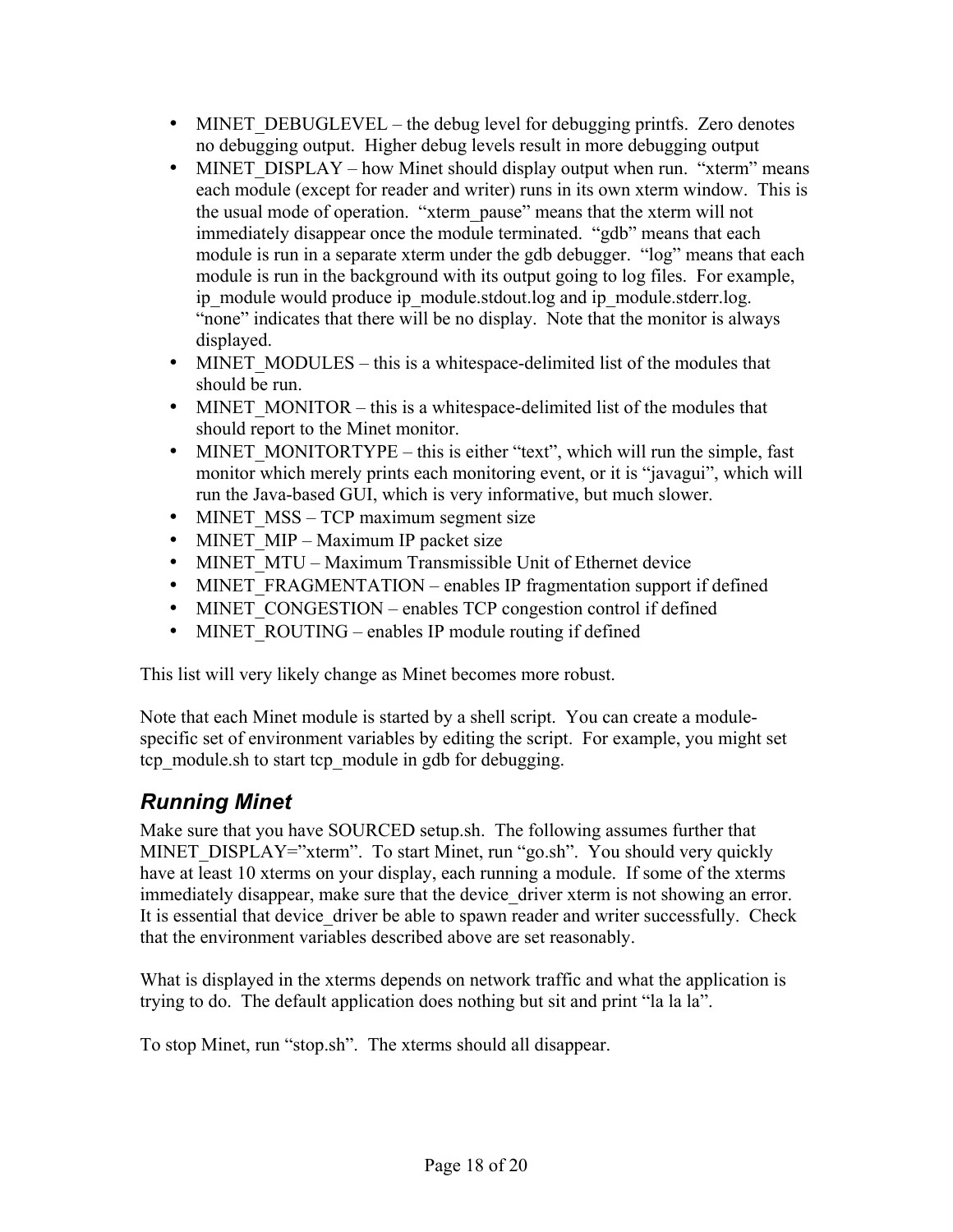- MINET DEBUGLEVEL the debug level for debugging printfs. Zero denotes no debugging output. Higher debug levels result in more debugging output
- MINET DISPLAY how Minet should display output when run. "xterm" means each module (except for reader and writer) runs in its own xterm window. This is the usual mode of operation. "xterm\_pause" means that the xterm will not immediately disappear once the module terminated. "gdb" means that each module is run in a separate xterm under the gdb debugger. "log" means that each module is run in the background with its output going to log files. For example, ip\_module would produce ip\_module.stdout.log and ip\_module.stderr.log. "none" indicates that there will be no display. Note that the monitor is always displayed.
- MINET MODULES this is a whitespace-delimited list of the modules that should be run.
- MINET MONITOR this is a whitespace-delimited list of the modules that should report to the Minet monitor.
- MINET MONITORTYPE this is either "text", which will run the simple, fast monitor which merely prints each monitoring event, or it is "javagui", which will run the Java-based GUI, which is very informative, but much slower.
- MINET MSS TCP maximum segment size
- MINET MIP Maximum IP packet size
- MINET MTU Maximum Transmissible Unit of Ethernet device
- MINET FRAGMENTATION enables IP fragmentation support if defined
- MINET CONGESTION enables TCP congestion control if defined
- MINET ROUTING enables IP module routing if defined

This list will very likely change as Minet becomes more robust.

Note that each Minet module is started by a shell script. You can create a modulespecific set of environment variables by editing the script. For example, you might set tcp\_module.sh to start tcp\_module in gdb for debugging.

# *Running Minet*

Make sure that you have SOURCED setup.sh. The following assumes further that MINET\_DISPLAY="xterm". To start Minet, run "go.sh". You should very quickly have at least 10 xterms on your display, each running a module. If some of the xterms immediately disappear, make sure that the device driver xterm is not showing an error. It is essential that device driver be able to spawn reader and writer successfully. Check that the environment variables described above are set reasonably.

What is displayed in the xterms depends on network traffic and what the application is trying to do. The default application does nothing but sit and print "la la la".

To stop Minet, run "stop.sh". The xterms should all disappear.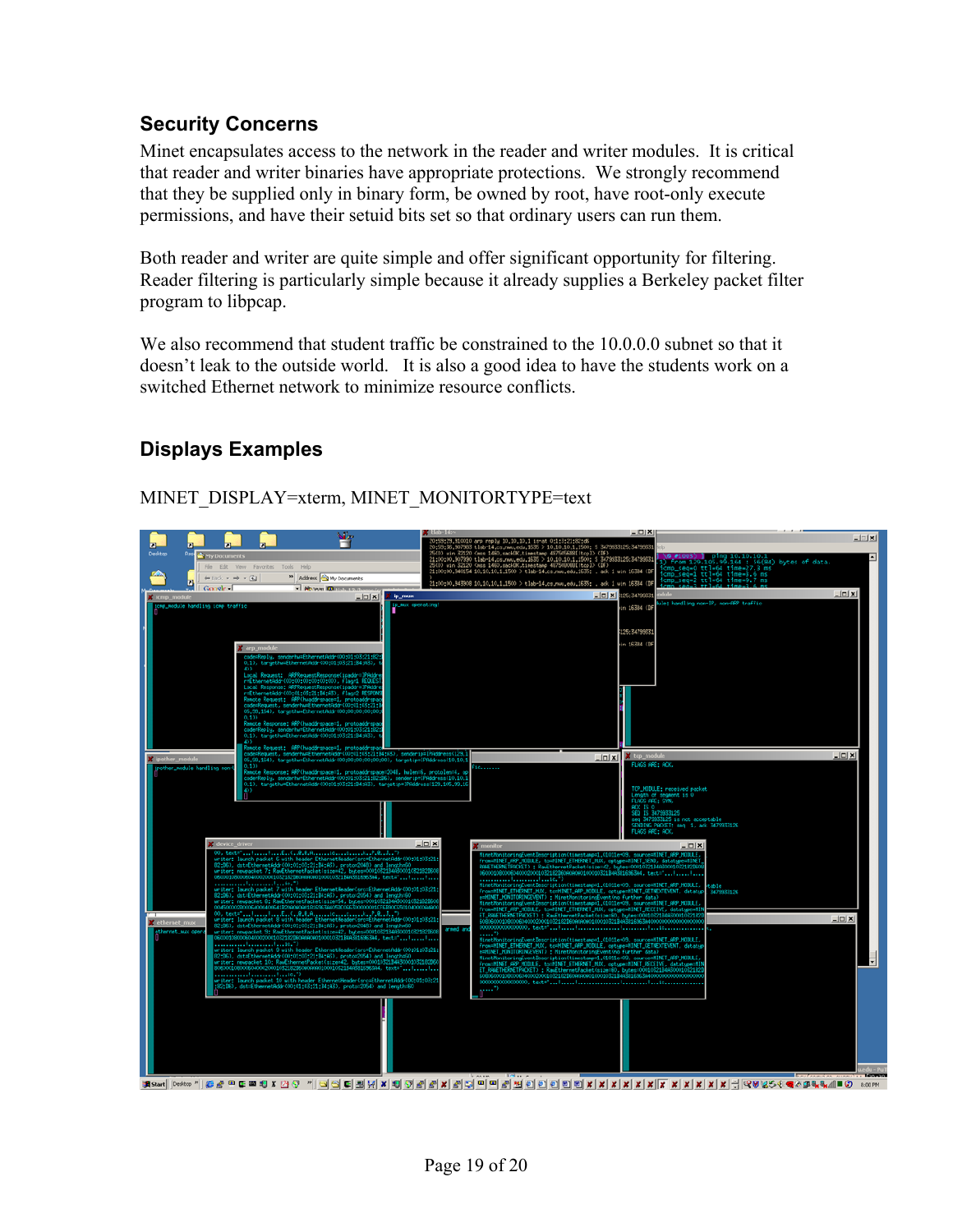#### **Security Concerns**

Minet encapsulates access to the network in the reader and writer modules. It is critical that reader and writer binaries have appropriate protections. We strongly recommend that they be supplied only in binary form, be owned by root, have root-only execute permissions, and have their setuid bits set so that ordinary users can run them.

Both reader and writer are quite simple and offer significant opportunity for filtering. Reader filtering is particularly simple because it already supplies a Berkeley packet filter program to libpcap.

We also recommend that student traffic be constrained to the 10.0.0.0 subnet so that it doesn't leak to the outside world. It is also a good idea to have the students work on a switched Ethernet network to minimize resource conflicts.

#### **Displays Examples**

# dress **Camro**

MINET\_DISPLAY=xterm, MINET\_MONITORTYPE=text